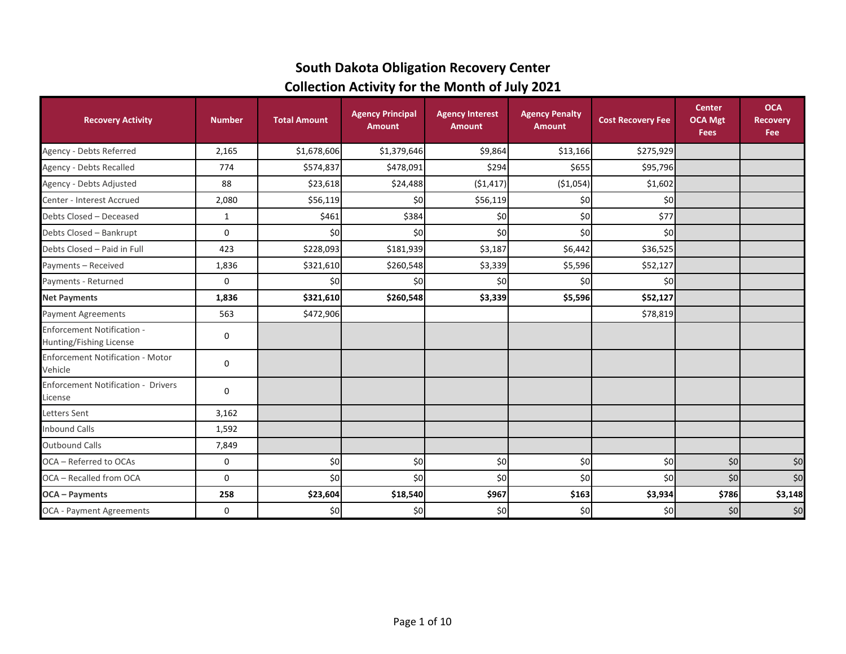#### **South Dakota Obligation Recovery Center Collection Activity for the Month of July 2021**

| <b>Recovery Activity</b>                                     | <b>Number</b> | <b>Total Amount</b> | <b>Agency Principal</b><br><b>Amount</b> | <b>Agency Interest</b><br><b>Amount</b> | <b>Agency Penalty</b><br><b>Amount</b> | <b>Cost Recovery Fee</b> | <b>Center</b><br><b>OCA Mgt</b><br><b>Fees</b> | <b>OCA</b><br><b>Recovery</b><br>Fee |
|--------------------------------------------------------------|---------------|---------------------|------------------------------------------|-----------------------------------------|----------------------------------------|--------------------------|------------------------------------------------|--------------------------------------|
| Agency - Debts Referred                                      | 2,165         | \$1,678,606         | \$1,379,646                              | \$9,864                                 | \$13,166                               | \$275,929                |                                                |                                      |
| Agency - Debts Recalled                                      | 774           | \$574,837           | \$478,091                                | \$294                                   | \$655                                  | \$95,796                 |                                                |                                      |
| Agency - Debts Adjusted                                      | 88            | \$23,618            | \$24,488                                 | (51, 417)                               | ( \$1,054)                             | \$1,602                  |                                                |                                      |
| Center - Interest Accrued                                    | 2,080         | \$56,119            | \$0                                      | \$56,119                                | \$0                                    | \$0                      |                                                |                                      |
| Debts Closed - Deceased                                      | $\mathbf{1}$  | \$461               | \$384                                    | \$0                                     | \$0                                    | \$77                     |                                                |                                      |
| Debts Closed - Bankrupt                                      | 0             | \$0                 | \$0                                      | \$0                                     | \$0                                    | \$0                      |                                                |                                      |
| Debts Closed - Paid in Full                                  | 423           | \$228,093           | \$181,939                                | \$3,187                                 | \$6,442                                | \$36,525                 |                                                |                                      |
| Payments - Received                                          | 1,836         | \$321,610           | \$260,548                                | \$3,339                                 | \$5,596                                | \$52,127                 |                                                |                                      |
| Payments - Returned                                          | 0             | \$0                 | \$0                                      | \$0                                     | \$0                                    | \$0                      |                                                |                                      |
| <b>Net Payments</b>                                          | 1,836         | \$321,610           | \$260,548                                | \$3,339                                 | \$5,596                                | \$52,127                 |                                                |                                      |
| <b>Payment Agreements</b>                                    | 563           | \$472,906           |                                          |                                         |                                        | \$78,819                 |                                                |                                      |
| <b>Enforcement Notification -</b><br>Hunting/Fishing License | 0             |                     |                                          |                                         |                                        |                          |                                                |                                      |
| <b>Enforcement Notification - Motor</b><br>Vehicle           | 0             |                     |                                          |                                         |                                        |                          |                                                |                                      |
| <b>Enforcement Notification - Drivers</b><br>License         | 0             |                     |                                          |                                         |                                        |                          |                                                |                                      |
| <b>Letters Sent</b>                                          | 3,162         |                     |                                          |                                         |                                        |                          |                                                |                                      |
| <b>Inbound Calls</b>                                         | 1,592         |                     |                                          |                                         |                                        |                          |                                                |                                      |
| <b>Outbound Calls</b>                                        | 7,849         |                     |                                          |                                         |                                        |                          |                                                |                                      |
| OCA - Referred to OCAs                                       | 0             | \$0                 | \$0                                      | \$0                                     | \$0                                    | \$0                      | \$0                                            | \$0                                  |
| OCA - Recalled from OCA                                      | 0             | \$0                 | \$0                                      | \$0                                     | \$0                                    | \$0                      | \$0                                            | \$0                                  |
| <b>OCA</b> - Payments                                        | 258           | \$23,604            | \$18,540                                 | \$967                                   | \$163                                  | \$3,934                  | \$786                                          | \$3,148                              |
| OCA - Payment Agreements                                     | 0             | \$0                 | \$0                                      | \$0                                     | \$0                                    | \$0                      | \$0                                            | \$0                                  |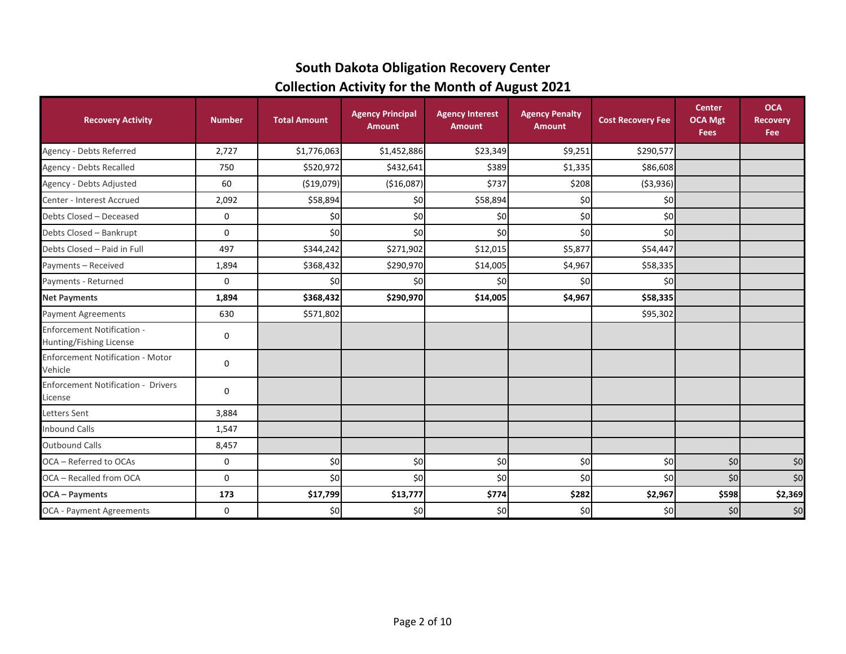# **South Dakota Obligation Recovery Center Collection Activity for the Month of August 2021**

| <b>Recovery Activity</b>                                     | <b>Number</b> | <b>Total Amount</b> | <b>Agency Principal</b><br><b>Amount</b> | <b>Agency Interest</b><br><b>Amount</b> | <b>Agency Penalty</b><br><b>Amount</b> | <b>Cost Recovery Fee</b> | <b>Center</b><br><b>OCA Mgt</b><br><b>Fees</b> | <b>OCA</b><br><b>Recovery</b><br>Fee |
|--------------------------------------------------------------|---------------|---------------------|------------------------------------------|-----------------------------------------|----------------------------------------|--------------------------|------------------------------------------------|--------------------------------------|
| Agency - Debts Referred                                      | 2,727         | \$1,776,063         | \$1,452,886                              | \$23,349                                | \$9,251                                | \$290,577                |                                                |                                      |
| Agency - Debts Recalled                                      | 750           | \$520,972           | \$432,641                                | \$389                                   | \$1,335                                | \$86,608                 |                                                |                                      |
| Agency - Debts Adjusted                                      | 60            | ( \$19,079)         | ( \$16,087]                              | \$737                                   | \$208                                  | ( \$3,936)               |                                                |                                      |
| Center - Interest Accrued                                    | 2,092         | \$58,894            | \$0                                      | \$58,894                                | \$0                                    | \$0                      |                                                |                                      |
| Debts Closed - Deceased                                      | 0             | \$0                 | \$0                                      | \$0                                     | \$0                                    | \$0                      |                                                |                                      |
| Debts Closed - Bankrupt                                      | 0             | \$0                 | \$0                                      | \$0                                     | \$0                                    | \$0                      |                                                |                                      |
| Debts Closed - Paid in Full                                  | 497           | \$344,242           | \$271,902                                | \$12,015                                | \$5,877                                | \$54,447                 |                                                |                                      |
| Payments - Received                                          | 1,894         | \$368,432           | \$290,970                                | \$14,005                                | \$4,967                                | \$58,335                 |                                                |                                      |
| Payments - Returned                                          | 0             | \$0                 | \$0 <sub>l</sub>                         | \$0                                     | \$0                                    | \$0                      |                                                |                                      |
| <b>Net Payments</b>                                          | 1,894         | \$368,432           | \$290,970                                | \$14,005                                | \$4,967                                | \$58,335                 |                                                |                                      |
| <b>Payment Agreements</b>                                    | 630           | \$571,802           |                                          |                                         |                                        | \$95,302                 |                                                |                                      |
| <b>Enforcement Notification -</b><br>Hunting/Fishing License | 0             |                     |                                          |                                         |                                        |                          |                                                |                                      |
| <b>Enforcement Notification - Motor</b><br>Vehicle           | 0             |                     |                                          |                                         |                                        |                          |                                                |                                      |
| <b>Enforcement Notification - Drivers</b><br>License         | $\mathbf 0$   |                     |                                          |                                         |                                        |                          |                                                |                                      |
| Letters Sent                                                 | 3,884         |                     |                                          |                                         |                                        |                          |                                                |                                      |
| <b>Inbound Calls</b>                                         | 1,547         |                     |                                          |                                         |                                        |                          |                                                |                                      |
| <b>Outbound Calls</b>                                        | 8,457         |                     |                                          |                                         |                                        |                          |                                                |                                      |
| OCA - Referred to OCAs                                       | 0             | \$0                 | \$0]                                     | \$0                                     | \$0                                    | \$0                      | \$0                                            | \$0                                  |
| OCA - Recalled from OCA                                      | 0             | \$0                 | \$0                                      | \$0                                     | \$0                                    | \$0                      | \$0                                            | \$0                                  |
| <b>OCA - Payments</b>                                        | 173           | \$17,799            | \$13,777                                 | \$774                                   | \$282                                  | \$2,967                  | \$598                                          | \$2,369                              |
| <b>OCA - Payment Agreements</b>                              | 0             | \$0                 | \$0                                      | \$0                                     | \$0                                    | \$0                      | \$0                                            | \$0                                  |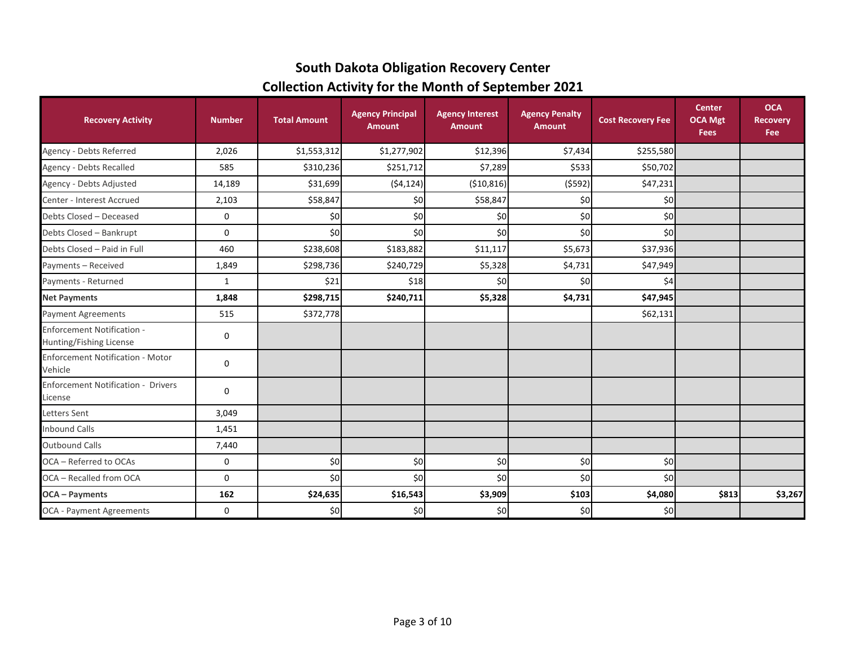# **Collection Activity for the Month of September 2021 South Dakota Obligation Recovery Center**

| <b>Recovery Activity</b>                                     | <b>Number</b> | <b>Total Amount</b> | <b>Agency Principal</b><br><b>Amount</b> | <b>Agency Interest</b><br><b>Amount</b> | <b>Agency Penalty</b><br><b>Amount</b> | <b>Cost Recovery Fee</b> | <b>Center</b><br><b>OCA Mgt</b><br><b>Fees</b> | <b>OCA</b><br><b>Recovery</b><br>Fee |
|--------------------------------------------------------------|---------------|---------------------|------------------------------------------|-----------------------------------------|----------------------------------------|--------------------------|------------------------------------------------|--------------------------------------|
| Agency - Debts Referred                                      | 2,026         | \$1,553,312         | \$1,277,902                              | \$12,396                                | \$7,434                                | \$255,580                |                                                |                                      |
| Agency - Debts Recalled                                      | 585           | \$310,236           | \$251,712                                | \$7,289                                 | \$533                                  | \$50,702                 |                                                |                                      |
| Agency - Debts Adjusted                                      | 14,189        | \$31,699            | (54, 124)                                | (\$10,816)                              | (5592)                                 | \$47,231                 |                                                |                                      |
| Center - Interest Accrued                                    | 2,103         | \$58,847            | \$0                                      | \$58,847                                | \$0                                    | \$0                      |                                                |                                      |
| Debts Closed - Deceased                                      | 0             | \$0                 | \$0                                      | \$0                                     | \$0                                    | \$0                      |                                                |                                      |
| Debts Closed - Bankrupt                                      | 0             | \$0                 | \$0                                      | \$0                                     | \$0                                    | \$0                      |                                                |                                      |
| Debts Closed - Paid in Full                                  | 460           | \$238,608           | \$183,882                                | \$11,117                                | \$5,673                                | \$37,936                 |                                                |                                      |
| Payments - Received                                          | 1,849         | \$298,736           | \$240,729                                | \$5,328                                 | \$4,731                                | \$47,949                 |                                                |                                      |
| Payments - Returned                                          | $\mathbf{1}$  | \$21                | \$18                                     | \$0                                     | \$0                                    | \$4                      |                                                |                                      |
| <b>Net Payments</b>                                          | 1,848         | \$298,715           | \$240,711                                | \$5,328                                 | \$4,731                                | \$47,945                 |                                                |                                      |
| <b>Payment Agreements</b>                                    | 515           | \$372,778           |                                          |                                         |                                        | \$62,131                 |                                                |                                      |
| <b>Enforcement Notification -</b><br>Hunting/Fishing License | 0             |                     |                                          |                                         |                                        |                          |                                                |                                      |
| <b>Enforcement Notification - Motor</b><br>Vehicle           | 0             |                     |                                          |                                         |                                        |                          |                                                |                                      |
| <b>Enforcement Notification - Drivers</b><br>License         | 0             |                     |                                          |                                         |                                        |                          |                                                |                                      |
| <b>Letters Sent</b>                                          | 3,049         |                     |                                          |                                         |                                        |                          |                                                |                                      |
| <b>Inbound Calls</b>                                         | 1,451         |                     |                                          |                                         |                                        |                          |                                                |                                      |
| <b>Outbound Calls</b>                                        | 7,440         |                     |                                          |                                         |                                        |                          |                                                |                                      |
| OCA - Referred to OCAs                                       | 0             | \$0                 | \$0                                      | \$0                                     | \$0                                    | \$0                      |                                                |                                      |
| OCA - Recalled from OCA                                      | 0             | \$0                 | \$0                                      | \$0                                     | \$0                                    | \$0                      |                                                |                                      |
| <b>OCA</b> - Payments                                        | 162           | \$24,635            | \$16,543                                 | \$3,909                                 | \$103                                  | \$4,080                  | \$813                                          | \$3,267                              |
| <b>OCA - Payment Agreements</b>                              | 0             | \$0                 | \$0                                      | \$0                                     | \$0                                    | \$0]                     |                                                |                                      |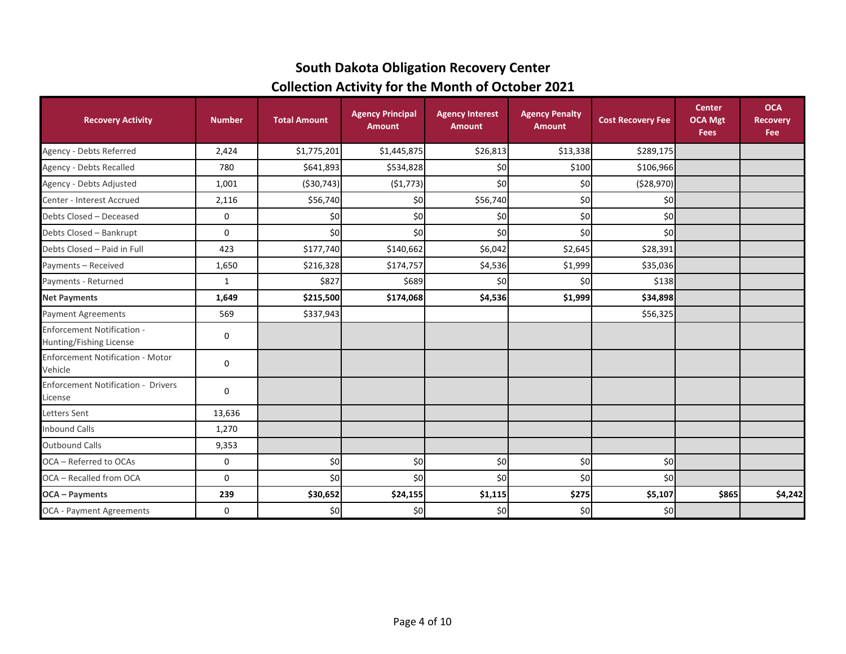# **South Dakota Obligation Recovery Center Collection Activity for the Month of October 2021**

| <b>Recovery Activity</b>                                     | <b>Number</b> | <b>Total Amount</b> | <b>Agency Principal</b><br><b>Amount</b> | <b>Agency Interest</b><br><b>Amount</b> | <b>Agency Penalty</b><br><b>Amount</b> | <b>Cost Recovery Fee</b> | <b>Center</b><br><b>OCA Mgt</b><br><b>Fees</b> | <b>OCA</b><br><b>Recovery</b><br>Fee |
|--------------------------------------------------------------|---------------|---------------------|------------------------------------------|-----------------------------------------|----------------------------------------|--------------------------|------------------------------------------------|--------------------------------------|
| Agency - Debts Referred                                      | 2,424         | \$1,775,201         | \$1,445,875                              | \$26,813                                | \$13,338                               | \$289,175                |                                                |                                      |
| <b>Agency - Debts Recalled</b>                               | 780           | \$641,893           | \$534,828                                | \$0                                     | \$100                                  | \$106,966                |                                                |                                      |
| Agency - Debts Adjusted                                      | 1,001         | ( \$30, 743)        | (51, 773)                                | \$0                                     | \$0                                    | ( \$28,970]              |                                                |                                      |
| Center - Interest Accrued                                    | 2,116         | \$56,740            | \$0                                      | \$56,740                                | \$0                                    | \$0                      |                                                |                                      |
| Debts Closed - Deceased                                      | 0             | \$0                 | \$0                                      | \$0                                     | \$0                                    | \$0                      |                                                |                                      |
| Debts Closed - Bankrupt                                      | 0             | \$0                 | \$0                                      | \$0                                     | \$0                                    | \$0                      |                                                |                                      |
| Debts Closed - Paid in Full                                  | 423           | \$177,740           | \$140,662                                | \$6,042                                 | \$2,645                                | \$28,391                 |                                                |                                      |
| Payments - Received                                          | 1,650         | \$216,328           | \$174,757                                | \$4,536                                 | \$1,999                                | \$35,036                 |                                                |                                      |
| Payments - Returned                                          | $\mathbf{1}$  | \$827               | \$689                                    | \$0                                     | \$0                                    | \$138                    |                                                |                                      |
| <b>Net Payments</b>                                          | 1,649         | \$215,500           | \$174,068                                | \$4,536                                 | \$1,999                                | \$34,898                 |                                                |                                      |
| <b>Payment Agreements</b>                                    | 569           | \$337,943           |                                          |                                         |                                        | \$56,325                 |                                                |                                      |
| <b>Enforcement Notification -</b><br>Hunting/Fishing License | 0             |                     |                                          |                                         |                                        |                          |                                                |                                      |
| <b>Enforcement Notification - Motor</b><br>Vehicle           | 0             |                     |                                          |                                         |                                        |                          |                                                |                                      |
| <b>Enforcement Notification - Drivers</b><br>License         | 0             |                     |                                          |                                         |                                        |                          |                                                |                                      |
| Letters Sent                                                 | 13,636        |                     |                                          |                                         |                                        |                          |                                                |                                      |
| <b>Inbound Calls</b>                                         | 1,270         |                     |                                          |                                         |                                        |                          |                                                |                                      |
| <b>Outbound Calls</b>                                        | 9,353         |                     |                                          |                                         |                                        |                          |                                                |                                      |
| OCA - Referred to OCAs                                       | 0             | \$0                 | \$0                                      | \$0                                     | \$0                                    | \$0]                     |                                                |                                      |
| OCA - Recalled from OCA                                      | 0             | \$0                 | \$0                                      | \$0                                     | \$0                                    | \$0                      |                                                |                                      |
| <b>OCA</b> - Payments                                        | 239           | \$30,652            | \$24,155                                 | \$1,115                                 | \$275                                  | \$5,107                  | \$865                                          | \$4,242                              |
| <b>OCA - Payment Agreements</b>                              | 0             | \$0                 | \$0                                      | \$0                                     | \$0                                    | \$0]                     |                                                |                                      |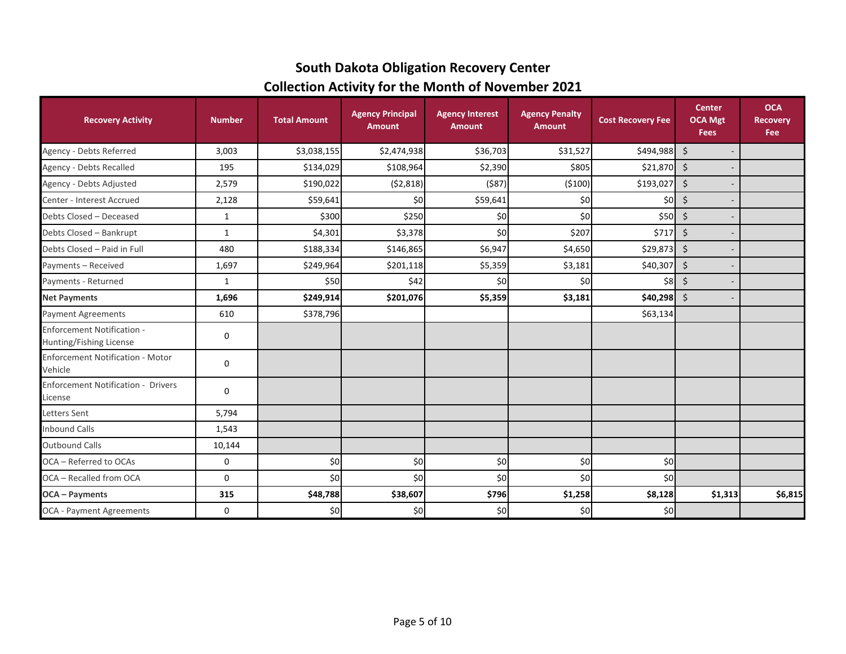# **South Dakota Obligation Recovery Center Collection Activity for the Month of November 2021**

| <b>Recovery Activity</b>                                     | <b>Number</b> | <b>Total Amount</b> | <b>Agency Principal</b><br><b>Amount</b> | <b>Agency Interest</b><br><b>Amount</b> | <b>Agency Penalty</b><br><b>Amount</b> | <b>Cost Recovery Fee</b> | <b>Center</b><br><b>OCA Mgt</b><br><b>Fees</b> | <b>OCA</b><br><b>Recovery</b><br><b>Fee</b> |
|--------------------------------------------------------------|---------------|---------------------|------------------------------------------|-----------------------------------------|----------------------------------------|--------------------------|------------------------------------------------|---------------------------------------------|
| Agency - Debts Referred                                      | 3,003         | \$3,038,155         | \$2,474,938                              | \$36,703                                | \$31,527                               | $$494,988$ \$            |                                                |                                             |
| Agency - Debts Recalled                                      | 195           | \$134,029           | \$108,964                                | \$2,390                                 | \$805                                  | $$21,870$ \$             |                                                |                                             |
| Agency - Debts Adjusted                                      | 2,579         | \$190,022           | (52,818)                                 | ( \$87)                                 | ( \$100)                               | \$193,027                | $\zeta$                                        |                                             |
| Center - Interest Accrued                                    | 2,128         | \$59,641            | \$0                                      | \$59,641                                | \$0                                    | \$0                      | \$                                             |                                             |
| Debts Closed - Deceased                                      | $\mathbf{1}$  | \$300               | \$250                                    | \$0                                     | \$0                                    | \$50                     | \$                                             |                                             |
| Debts Closed - Bankrupt                                      | $\mathbf{1}$  | \$4,301             | \$3,378                                  | \$0                                     | \$207                                  | \$717                    | \$                                             |                                             |
| Debts Closed - Paid in Full                                  | 480           | \$188,334           | \$146,865                                | \$6,947                                 | \$4,650                                | \$29,873                 | $\zeta$                                        |                                             |
| Payments - Received                                          | 1,697         | \$249,964           | \$201,118                                | \$5,359                                 | \$3,181                                | \$40,307                 | \$                                             |                                             |
| Payments - Returned                                          | $\mathbf{1}$  | \$50                | \$42                                     | \$0                                     | \$0                                    | \$8                      | \$                                             |                                             |
| <b>Net Payments</b>                                          | 1,696         | \$249,914           | \$201,076                                | \$5,359                                 | \$3,181                                | \$40,298                 | $\zeta$                                        |                                             |
| <b>Payment Agreements</b>                                    | 610           | \$378,796           |                                          |                                         |                                        | \$63,134                 |                                                |                                             |
| <b>Enforcement Notification -</b><br>Hunting/Fishing License | 0             |                     |                                          |                                         |                                        |                          |                                                |                                             |
| <b>Enforcement Notification - Motor</b><br>Vehicle           | 0             |                     |                                          |                                         |                                        |                          |                                                |                                             |
| <b>Enforcement Notification - Drivers</b><br>License         | 0             |                     |                                          |                                         |                                        |                          |                                                |                                             |
| Letters Sent                                                 | 5,794         |                     |                                          |                                         |                                        |                          |                                                |                                             |
| <b>Inbound Calls</b>                                         | 1,543         |                     |                                          |                                         |                                        |                          |                                                |                                             |
| <b>Outbound Calls</b>                                        | 10,144        |                     |                                          |                                         |                                        |                          |                                                |                                             |
| OCA - Referred to OCAs                                       | 0             | \$0                 | \$0                                      | \$0                                     | \$0                                    | \$0                      |                                                |                                             |
| OCA - Recalled from OCA                                      | 0             | \$0                 | \$0                                      | \$0                                     | \$0                                    | \$0                      |                                                |                                             |
| <b>OCA</b> - Payments                                        | 315           | \$48,788            | \$38,607                                 | \$796                                   | \$1,258                                | \$8,128                  | \$1,313                                        | \$6,815                                     |
| OCA - Payment Agreements                                     | 0             | \$0                 | \$0                                      | \$0                                     | \$0                                    | \$0                      |                                                |                                             |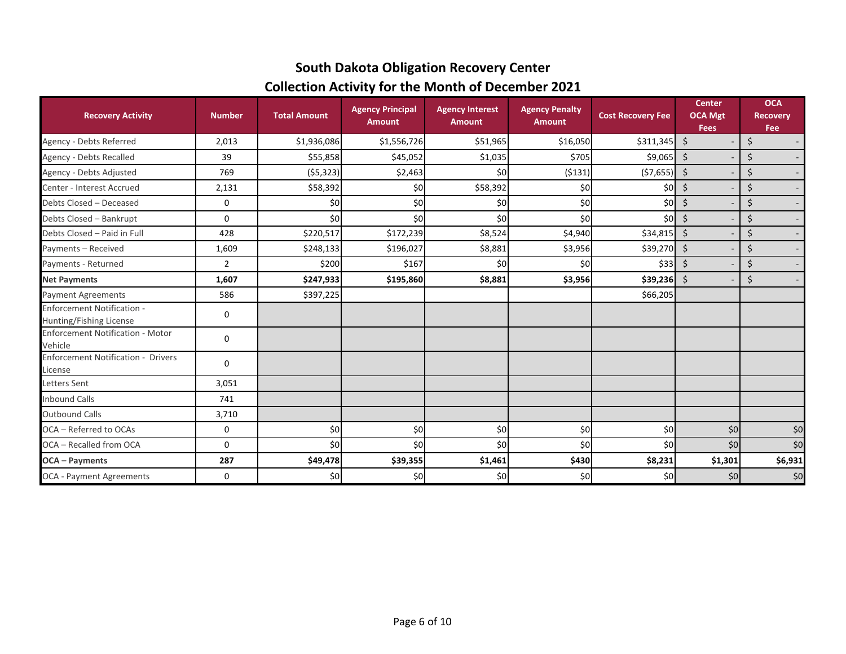# **South Dakota Obligation Recovery Center Collection Activity for the Month of December 2021**

| <b>Recovery Activity</b>                                     | <b>Number</b>  | <b>Total Amount</b> | <b>Agency Principal</b><br><b>Amount</b> | <b>Agency Interest</b><br><b>Amount</b> | <b>Agency Penalty</b><br><b>Amount</b> | <b>Cost Recovery Fee</b> | <b>Center</b><br><b>OCA Mgt</b><br><b>Fees</b> | <b>OCA</b><br><b>Recovery</b><br>Fee |
|--------------------------------------------------------------|----------------|---------------------|------------------------------------------|-----------------------------------------|----------------------------------------|--------------------------|------------------------------------------------|--------------------------------------|
| Agency - Debts Referred                                      | 2,013          | \$1,936,086         | \$1,556,726                              | \$51,965                                | \$16,050                               | \$311,345                | $\zeta$                                        | \$                                   |
| Agency - Debts Recalled                                      | 39             | \$55,858            | \$45,052                                 | \$1,035                                 | \$705                                  | \$9,065                  | \$                                             | \$<br>$\sim$                         |
| Agency - Debts Adjusted                                      | 769            | (55, 323)           | \$2,463                                  | \$0                                     | ( \$131)                               | (57, 655)                | \$                                             | \$<br>$\sim$                         |
| Center - Interest Accrued                                    | 2,131          | \$58,392            | \$0                                      | \$58,392                                | \$0                                    | \$0]                     | \$                                             | $\zeta$<br>$\sim$                    |
| Debts Closed - Deceased                                      | 0              | \$0                 | \$0                                      | \$0                                     | \$0                                    | \$0]                     | \$                                             | \$<br>$\sim$                         |
| Debts Closed - Bankrupt                                      | 0              | \$0                 | \$0                                      | \$0                                     | \$0                                    | \$0 <sub>l</sub>         | \$                                             | \$<br>$\sim$                         |
| Debts Closed - Paid in Full                                  | 428            | \$220,517           | \$172,239                                | \$8,524                                 | \$4,940                                | \$34,815                 | \$                                             | $\zeta$<br>$\overline{\phantom{a}}$  |
| Payments - Received                                          | 1,609          | \$248,133           | \$196,027                                | \$8,881                                 | \$3,956                                | \$39,270                 | \$                                             | $\zeta$<br>$\sim$                    |
| Payments - Returned                                          | $\overline{2}$ | \$200               | \$167                                    | \$0                                     | \$0                                    | \$331                    | \$                                             | \$<br>$\sim$                         |
| <b>Net Payments</b>                                          | 1,607          | \$247,933           | \$195,860                                | \$8,881                                 | \$3,956                                | \$39,236                 | \$                                             | \$                                   |
| <b>Payment Agreements</b>                                    | 586            | \$397,225           |                                          |                                         |                                        | \$66,205                 |                                                |                                      |
| <b>Enforcement Notification -</b><br>Hunting/Fishing License | 0              |                     |                                          |                                         |                                        |                          |                                                |                                      |
| <b>Enforcement Notification - Motor</b><br>Vehicle           | 0              |                     |                                          |                                         |                                        |                          |                                                |                                      |
| <b>Enforcement Notification - Drivers</b><br>License         | 0              |                     |                                          |                                         |                                        |                          |                                                |                                      |
| Letters Sent                                                 | 3,051          |                     |                                          |                                         |                                        |                          |                                                |                                      |
| <b>Inbound Calls</b>                                         | 741            |                     |                                          |                                         |                                        |                          |                                                |                                      |
| <b>Outbound Calls</b>                                        | 3,710          |                     |                                          |                                         |                                        |                          |                                                |                                      |
| OCA - Referred to OCAs                                       | 0              | \$0                 | \$0                                      | \$0                                     | \$0                                    | \$0                      | \$0                                            | \$0                                  |
| OCA - Recalled from OCA                                      | 0              | \$0                 | \$0                                      | \$0                                     | \$0                                    | \$0                      | \$0                                            | \$0                                  |
| <b>OCA</b> - Payments                                        | 287            | \$49,478            | \$39,355                                 | \$1,461                                 | \$430                                  | \$8,231                  | \$1,301                                        | \$6,931                              |
| <b>OCA - Payment Agreements</b>                              | 0              | \$0                 | \$0                                      | \$0                                     | \$0                                    | \$0]                     | \$0                                            | \$0                                  |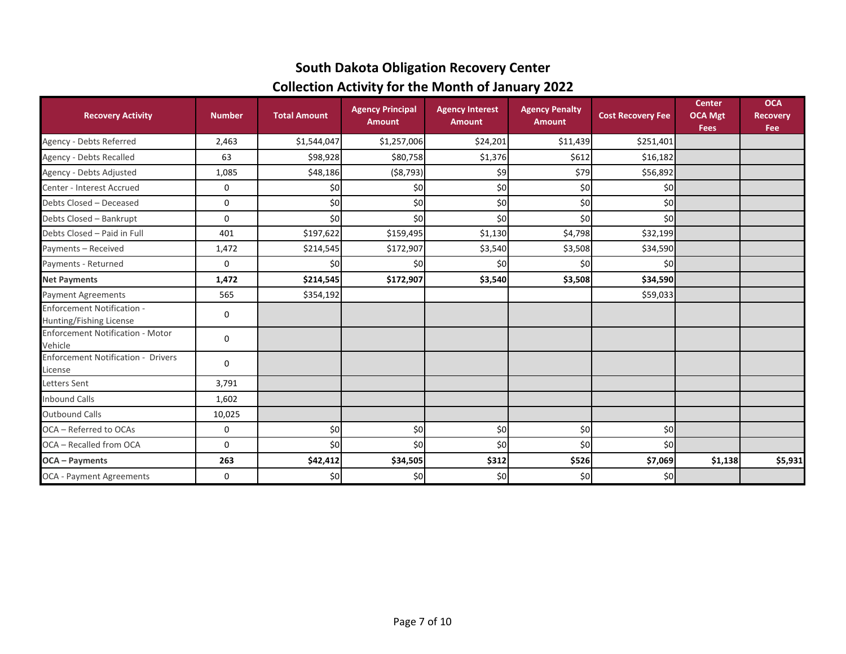# **South Dakota Obligation Recovery Center Collection Activity for the Month of January 2022**

| <b>Recovery Activity</b>                                     | <b>Number</b> | <b>Total Amount</b> | <b>Agency Principal</b><br><b>Amount</b> | <b>Agency Interest</b><br><b>Amount</b> | <b>Agency Penalty</b><br><b>Amount</b> | <b>Cost Recovery Fee</b> | <b>Center</b><br><b>OCA Mgt</b><br><b>Fees</b> | <b>OCA</b><br><b>Recovery</b><br>Fee |
|--------------------------------------------------------------|---------------|---------------------|------------------------------------------|-----------------------------------------|----------------------------------------|--------------------------|------------------------------------------------|--------------------------------------|
| Agency - Debts Referred                                      | 2,463         | \$1,544,047         | \$1,257,006                              | \$24,201                                | \$11,439                               | \$251,401                |                                                |                                      |
| Agency - Debts Recalled                                      | 63            | \$98,928            | \$80,758                                 | \$1,376                                 | \$612                                  | \$16,182                 |                                                |                                      |
| Agency - Debts Adjusted                                      | 1,085         | \$48,186            | ( \$8,793)                               | \$9                                     | \$79                                   | \$56,892                 |                                                |                                      |
| Center - Interest Accrued                                    | 0             | \$0                 | \$0                                      | \$0                                     | \$0                                    | \$0                      |                                                |                                      |
| Debts Closed - Deceased                                      | 0             | \$0                 | \$0                                      | \$0                                     | \$0                                    | \$0                      |                                                |                                      |
| Debts Closed - Bankrupt                                      | 0             | \$0                 | \$0                                      | \$0                                     | \$0                                    | \$0                      |                                                |                                      |
| Debts Closed - Paid in Full                                  | 401           | \$197,622           | \$159,495                                | \$1,130                                 | \$4,798                                | \$32,199                 |                                                |                                      |
| Payments - Received                                          | 1,472         | \$214,545           | \$172,907                                | \$3,540                                 | \$3,508                                | \$34,590                 |                                                |                                      |
| Payments - Returned                                          | 0             | \$0                 | \$0                                      | \$0                                     | \$0                                    | \$0                      |                                                |                                      |
| <b>Net Payments</b>                                          | 1,472         | \$214,545           | \$172,907                                | \$3,540                                 | \$3,508                                | \$34,590                 |                                                |                                      |
| <b>Payment Agreements</b>                                    | 565           | \$354,192           |                                          |                                         |                                        | \$59,033                 |                                                |                                      |
| <b>Enforcement Notification -</b><br>Hunting/Fishing License | 0             |                     |                                          |                                         |                                        |                          |                                                |                                      |
| <b>Enforcement Notification - Motor</b><br>Vehicle           | 0             |                     |                                          |                                         |                                        |                          |                                                |                                      |
| <b>Enforcement Notification - Drivers</b><br>License         | 0             |                     |                                          |                                         |                                        |                          |                                                |                                      |
| Letters Sent                                                 | 3,791         |                     |                                          |                                         |                                        |                          |                                                |                                      |
| <b>Inbound Calls</b>                                         | 1,602         |                     |                                          |                                         |                                        |                          |                                                |                                      |
| <b>Outbound Calls</b>                                        | 10,025        |                     |                                          |                                         |                                        |                          |                                                |                                      |
| OCA - Referred to OCAs                                       | 0             | \$0                 | \$0                                      | \$0                                     | \$0                                    | \$0                      |                                                |                                      |
| OCA - Recalled from OCA                                      | 0             | \$0                 | \$0                                      | \$0                                     | \$0                                    | \$0                      |                                                |                                      |
| <b>OCA</b> - Payments                                        | 263           | \$42,412            | \$34,505                                 | \$312                                   | \$526                                  | \$7,069                  | \$1,138                                        | \$5,931                              |
| OCA - Payment Agreements                                     | 0             | \$0                 | \$0                                      | \$0                                     | \$0                                    | \$0                      |                                                |                                      |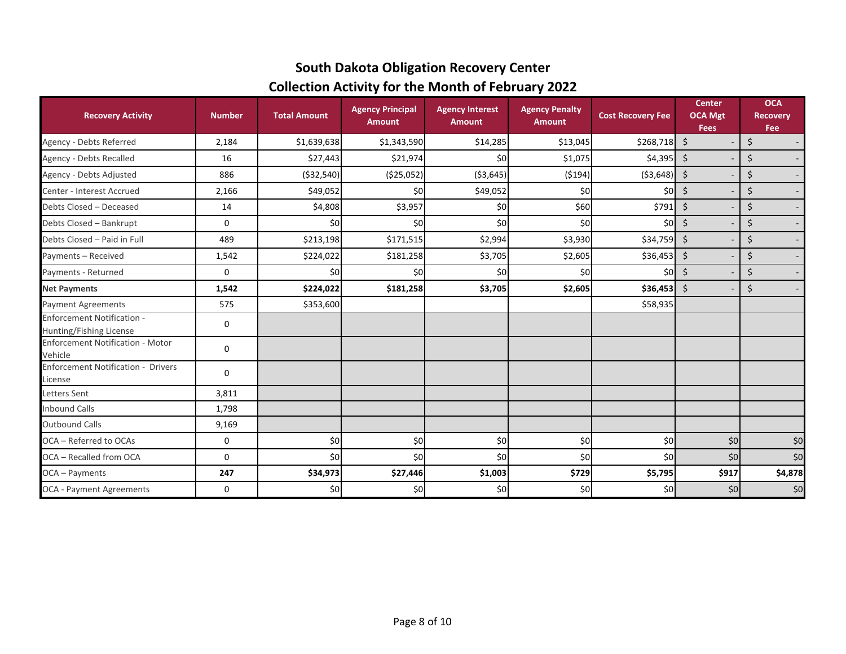# **South Dakota Obligation Recovery Center Collection Activity for the Month of February 2022**

| <b>Recovery Activity</b>                                     | <b>Number</b> | <b>Total Amount</b> | <b>Agency Principal</b><br><b>Amount</b> | <b>Agency Interest</b><br><b>Amount</b> | <b>Agency Penalty</b><br><b>Amount</b> | <b>Cost Recovery Fee</b> | <b>Center</b><br><b>OCA Mgt</b><br><b>Fees</b> | <b>OCA</b><br><b>Recovery</b><br>Fee     |
|--------------------------------------------------------------|---------------|---------------------|------------------------------------------|-----------------------------------------|----------------------------------------|--------------------------|------------------------------------------------|------------------------------------------|
| Agency - Debts Referred                                      | 2,184         | \$1,639,638         | \$1,343,590                              | \$14,285                                | \$13,045                               | \$268,718                | $\ddot{\mathsf{S}}$                            | \$<br>$\sim$                             |
| Agency - Debts Recalled                                      | 16            | \$27,443            | \$21,974                                 | \$0                                     | \$1,075                                | \$4,395                  | \$                                             | \$<br>$\sim$                             |
| Agency - Debts Adjusted                                      | 886           | ( \$32, 540)        | ( \$25,052)                              | ( \$3,645)                              | (5194)                                 | ( \$3,648)               | \$                                             | \$<br>$\sim$                             |
| Center - Interest Accrued                                    | 2,166         | \$49,052            | \$0                                      | \$49,052                                | \$0                                    | \$0                      | \$                                             | \$<br>$\sim$                             |
| Debts Closed - Deceased                                      | 14            | \$4,808             | \$3,957                                  | \$0                                     | \$60                                   | \$791                    | \$                                             | \$<br>$\sim$                             |
| Debts Closed - Bankrupt                                      | 0             | \$0                 | \$0                                      | \$0                                     | \$0                                    | \$0 <sub>l</sub>         | \$                                             | $\boldsymbol{\dot{\varsigma}}$<br>$\sim$ |
| Debts Closed - Paid in Full                                  | 489           | \$213,198           | \$171,515                                | \$2,994                                 | \$3,930                                | \$34,759                 | \$                                             | \$<br>$\overline{\phantom{a}}$           |
| Payments - Received                                          | 1,542         | \$224,022           | \$181,258                                | \$3,705                                 | \$2,605                                | \$36,453                 | $\zeta$                                        | \$<br>$\overline{\phantom{a}}$           |
| Payments - Returned                                          | 0             | \$0                 | \$0                                      | \$0                                     | \$0                                    | \$0                      | \$                                             | \$<br>$\sim$                             |
| <b>Net Payments</b>                                          | 1,542         | \$224,022           | \$181,258                                | \$3,705                                 | \$2,605                                | \$36,453                 | $\zeta$                                        | \$<br>$\sim$                             |
| <b>Payment Agreements</b>                                    | 575           | \$353,600           |                                          |                                         |                                        | \$58,935                 |                                                |                                          |
| <b>Enforcement Notification -</b><br>Hunting/Fishing License | 0             |                     |                                          |                                         |                                        |                          |                                                |                                          |
| <b>Enforcement Notification - Motor</b><br>Vehicle           | 0             |                     |                                          |                                         |                                        |                          |                                                |                                          |
| <b>Enforcement Notification - Drivers</b><br>License         | 0             |                     |                                          |                                         |                                        |                          |                                                |                                          |
| Letters Sent                                                 | 3,811         |                     |                                          |                                         |                                        |                          |                                                |                                          |
| <b>Inbound Calls</b>                                         | 1,798         |                     |                                          |                                         |                                        |                          |                                                |                                          |
| <b>Outbound Calls</b>                                        | 9,169         |                     |                                          |                                         |                                        |                          |                                                |                                          |
| OCA - Referred to OCAs                                       | 0             | \$0                 | \$0                                      | \$0                                     | \$0                                    | \$0]                     | \$0                                            | \$0                                      |
| OCA - Recalled from OCA                                      | 0             | \$0                 | \$0                                      | \$0                                     | \$0                                    | \$0                      | \$0                                            | \$0                                      |
| OCA - Payments                                               | 247           | \$34,973            | \$27,446                                 | \$1,003                                 | \$729                                  | \$5,795                  | \$917                                          | \$4,878                                  |
| OCA - Payment Agreements                                     | 0             | \$0                 | \$0                                      | \$0                                     | \$0                                    | \$0]                     | \$0                                            | \$0                                      |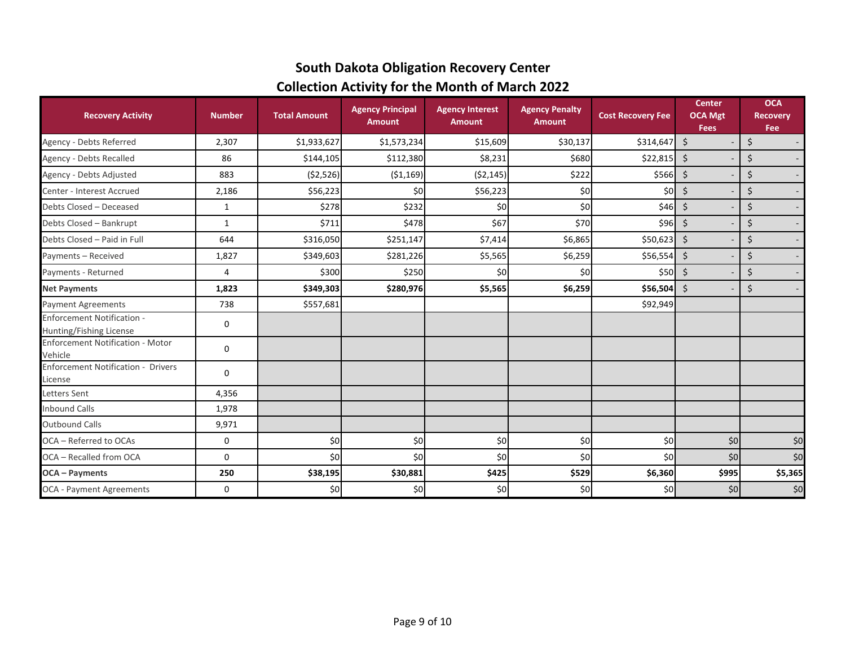# **South Dakota Obligation Recovery Center Collection Activity for the Month of March 2022**

| <b>Recovery Activity</b>                                     | <b>Number</b> | <b>Total Amount</b> | <b>Agency Principal</b><br><b>Amount</b> | <b>Agency Interest</b><br><b>Amount</b> | <b>Agency Penalty</b><br><b>Amount</b> | <b>Cost Recovery Fee</b> | <b>Center</b><br><b>OCA Mgt</b><br><b>Fees</b> | <b>OCA</b><br><b>Recovery</b><br>Fee |
|--------------------------------------------------------------|---------------|---------------------|------------------------------------------|-----------------------------------------|----------------------------------------|--------------------------|------------------------------------------------|--------------------------------------|
| Agency - Debts Referred                                      | 2,307         | \$1,933,627         | \$1,573,234                              | \$15,609                                | \$30,137                               | \$314,647                | $\zeta$                                        | \$<br>$\sim$                         |
| Agency - Debts Recalled                                      | 86            | \$144,105           | \$112,380                                | \$8,231                                 | \$680                                  | \$22,815                 | \$                                             | \$<br>$\sim$                         |
| Agency - Debts Adjusted                                      | 883           | (52,526)            | (51, 169)                                | (52, 145)                               | \$222                                  | \$566                    | \$                                             | $\boldsymbol{\zeta}$<br>$\sim$       |
| Center - Interest Accrued                                    | 2,186         | \$56,223            | \$0                                      | \$56,223                                | \$0                                    | \$0                      | \$                                             | \$<br>$\sim$                         |
| Debts Closed - Deceased                                      | $\mathbf{1}$  | \$278               | \$232                                    | \$0                                     | \$0                                    | \$46                     | \$                                             | \$<br>$\sim$                         |
| Debts Closed - Bankrupt                                      | 1             | \$711               | \$478                                    | \$67                                    | \$70                                   | \$96                     | \$                                             | \$<br>$\sim$                         |
| Debts Closed - Paid in Full                                  | 644           | \$316,050           | \$251,147                                | \$7,414                                 | \$6,865                                | \$50,623                 | \$                                             | \$                                   |
| Payments - Received                                          | 1,827         | \$349,603           | \$281,226                                | \$5,565                                 | \$6,259                                | \$56,554                 | $\zeta$                                        | \$                                   |
| Payments - Returned                                          | 4             | \$300               | \$250                                    | \$0                                     | \$0                                    | \$50                     | \$                                             | \$                                   |
| <b>Net Payments</b>                                          | 1,823         | \$349,303           | \$280,976                                | \$5,565                                 | \$6,259                                | \$56,504                 | \$                                             | \$                                   |
| <b>Payment Agreements</b>                                    | 738           | \$557,681           |                                          |                                         |                                        | \$92,949                 |                                                |                                      |
| <b>Enforcement Notification -</b><br>Hunting/Fishing License | 0             |                     |                                          |                                         |                                        |                          |                                                |                                      |
| <b>Enforcement Notification - Motor</b><br>Vehicle           | 0             |                     |                                          |                                         |                                        |                          |                                                |                                      |
| <b>Enforcement Notification - Drivers</b><br>License         | 0             |                     |                                          |                                         |                                        |                          |                                                |                                      |
| Letters Sent                                                 | 4,356         |                     |                                          |                                         |                                        |                          |                                                |                                      |
| <b>Inbound Calls</b>                                         | 1,978         |                     |                                          |                                         |                                        |                          |                                                |                                      |
| <b>Outbound Calls</b>                                        | 9,971         |                     |                                          |                                         |                                        |                          |                                                |                                      |
| OCA - Referred to OCAs                                       | 0             | \$0                 | \$0                                      | \$0                                     | \$0                                    | \$0                      | \$0                                            | \$0                                  |
| OCA - Recalled from OCA                                      | 0             | \$0                 | \$0                                      | \$0                                     | \$0                                    | \$0                      | \$0                                            | \$0                                  |
| <b>OCA</b> - Payments                                        | 250           | \$38,195            | \$30,881                                 | \$425                                   | \$529                                  | \$6,360                  | \$995                                          | \$5,365                              |
| OCA - Payment Agreements                                     | 0             | \$0                 | \$0                                      | \$0                                     | \$0                                    | \$0                      | \$0                                            | \$0                                  |